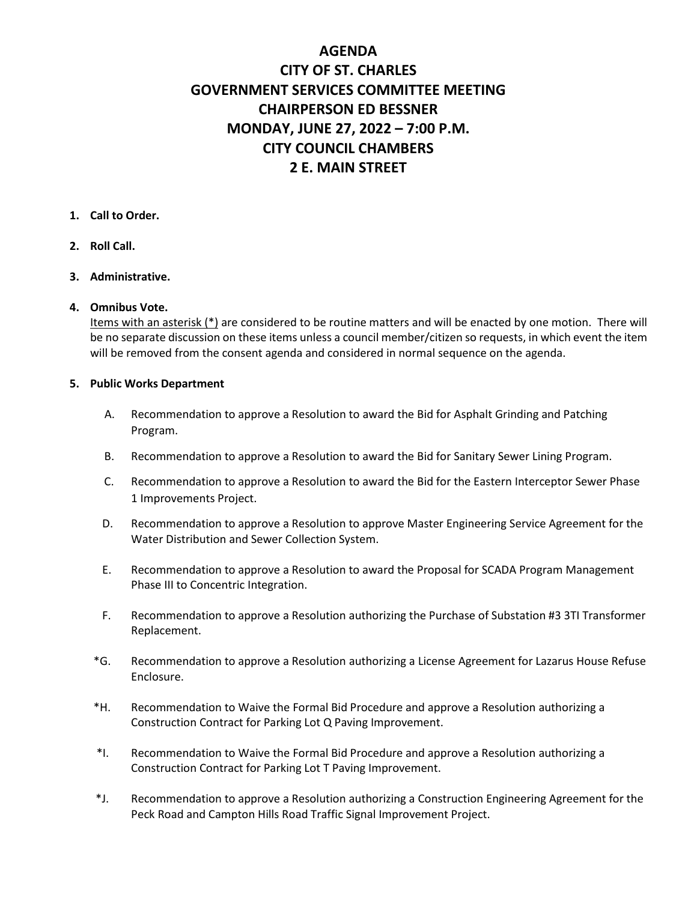# **AGENDA CITY OF ST. CHARLES GOVERNMENT SERVICES COMMITTEE MEETING CHAIRPERSON ED BESSNER MONDAY, JUNE 27, 2022 – 7:00 P.M. CITY COUNCIL CHAMBERS 2 E. MAIN STREET**

### **1. Call to Order.**

### **2. Roll Call.**

#### **3. Administrative.**

#### **4. Omnibus Vote.**

Items with an asterisk (\*) are considered to be routine matters and will be enacted by one motion. There will be no separate discussion on these items unless a council member/citizen so requests, in which event the item will be removed from the consent agenda and considered in normal sequence on the agenda.

#### **5. Public Works Department**

- A. Recommendation to approve a Resolution to award the Bid for Asphalt Grinding and Patching Program.
- B. Recommendation to approve a Resolution to award the Bid for Sanitary Sewer Lining Program.
- C. Recommendation to approve a Resolution to award the Bid for the Eastern Interceptor Sewer Phase 1 Improvements Project.
- D. Recommendation to approve a Resolution to approve Master Engineering Service Agreement for the Water Distribution and Sewer Collection System.
- E. Recommendation to approve a Resolution to award the Proposal for SCADA Program Management Phase III to Concentric Integration.
- F. Recommendation to approve a Resolution authorizing the Purchase of Substation #3 3TI Transformer Replacement.
- \*G. Recommendation to approve a Resolution authorizing a License Agreement for Lazarus House Refuse Enclosure.
- \*H. Recommendation to Waive the Formal Bid Procedure and approve a Resolution authorizing a Construction Contract for Parking Lot Q Paving Improvement.
- \*I. Recommendation to Waive the Formal Bid Procedure and approve a Resolution authorizing a Construction Contract for Parking Lot T Paving Improvement.
- \*J. Recommendation to approve a Resolution authorizing a Construction Engineering Agreement for the Peck Road and Campton Hills Road Traffic Signal Improvement Project.